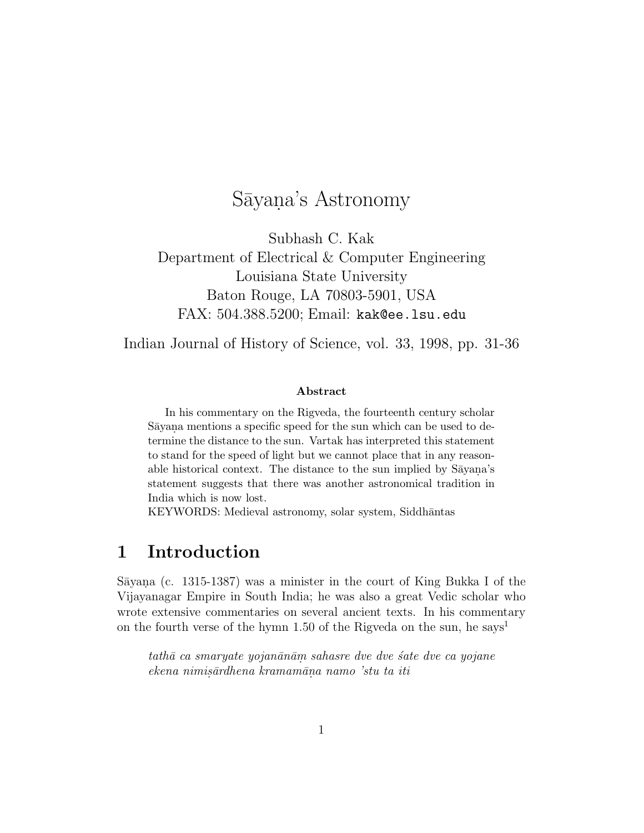# Sāyana's Astronomy

Subhash C. Kak Department of Electrical & Computer Engineering Louisiana State University Baton Rouge, LA 70803-5901, USA FAX: 504.388.5200; Email: kak@ee.lsu.edu

Indian Journal of History of Science, vol. 33, 1998, pp. 31-36

#### **Abstract**

In his commentary on the Rigveda, the fourteenth century scholar Sāyana mentions a specific speed for the sun which can be used to determine the distance to the sun. Vartak has interpreted this statement to stand for the speed of light but we cannot place that in any reasonable historical context. The distance to the sun implied by Sayana's statement suggests that there was another astronomical tradition in India which is now lost.

KEYWORDS: Medieval astronomy, solar system, Siddhāntas

# **1 Introduction**

Sāyana (c. 1315-1387) was a minister in the court of King Bukka I of the Vijayanagar Empire in South India; he was also a great Vedic scholar who wrote extensive commentaries on several ancient texts. In his commentary on the fourth verse of the hymn 1.50 of the Rigveda on the sun, he says<sup>1</sup>

tathā ca smaryate yojanānām sahasre dve dve sate dve ca yojane ekena nimisārdhena kramamāna namo 'stu ta iti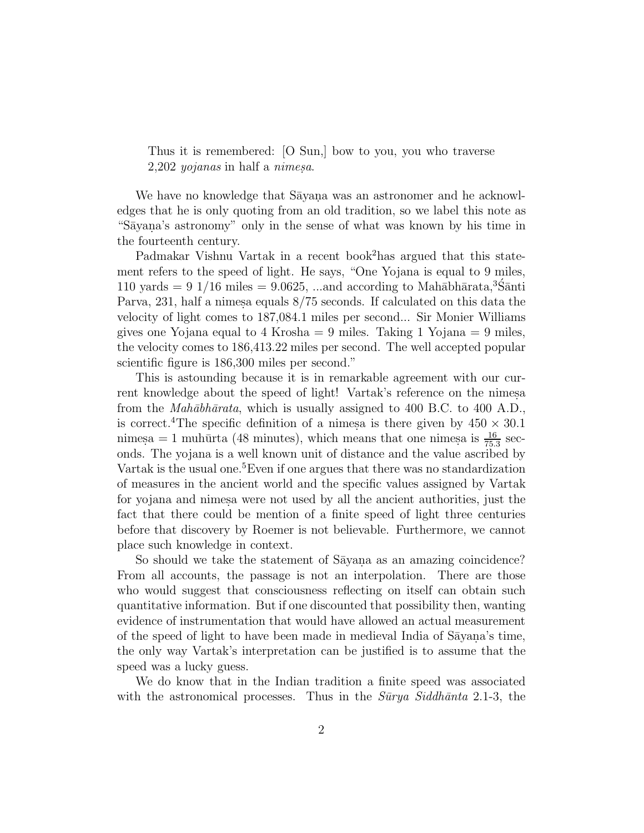Thus it is remembered: [O Sun,] bow to you, you who traverse  $2,202$  yojanas in half a nimesa.

We have no knowledge that Sayana was an astronomer and he acknowledges that he is only quoting from an old tradition, so we label this note as "Sayana's astronomy" only in the sense of what was known by his time in the fourteenth century.

Padmakar Vishnu Vartak in a recent book<sup>2</sup>has argued that this statement refers to the speed of light. He says, "One Yojana is equal to 9 miles, 110 yards = 9 1/16 miles = 9.0625, ...and according to Mahābhārata,<sup>3</sup>Ś anti Parva, 231, half a nimes aequals  $8/75$  seconds. If calculated on this data the velocity of light comes to 187,084.1 miles per second... Sir Monier Williams gives one Yojana equal to 4 Krosha  $= 9$  miles. Taking 1 Yojana  $= 9$  miles, the velocity comes to 186,413.22 miles per second. The well accepted popular scientific figure is 186,300 miles per second."

This is astounding because it is in remarkable agreement with our current knowledge about the speed of light! Vartak's reference on the nimesa from the *Mahābhārata*, which is usually assigned to 400 B.C. to 400 A.D., is correct.<sup>4</sup>The specific definition of a nimesa is there given by  $450 \times 30.1$ nimesa = 1 muhūrta (48 minutes), which means that one nimesa is  $\frac{16}{75.3}$  seconds. The yojana is a well known unit of distance and the value ascribed by Vartak is the usual one.<sup>5</sup>Even if one argues that there was no standardization of measures in the ancient world and the specific values assigned by Vartak for yojana and nimes were not used by all the ancient authorities, just the fact that there could be mention of a finite speed of light three centuries before that discovery by Roemer is not believable. Furthermore, we cannot place such knowledge in context.

So should we take the statement of Sayana as an amazing coincidence? From all accounts, the passage is not an interpolation. There are those who would suggest that consciousness reflecting on itself can obtain such quantitative information. But if one discounted that possibility then, wanting evidence of instrumentation that would have allowed an actual measurement of the speed of light to have been made in medieval India of Sayana's time, the only way Vartak's interpretation can be justified is to assume that the speed was a lucky guess.

We do know that in the Indian tradition a finite speed was associated with the astronomical processes. Thus in the  $\tilde{S}u\tilde{v}y$  Siddh $\tilde{a}nta$  2.1-3, the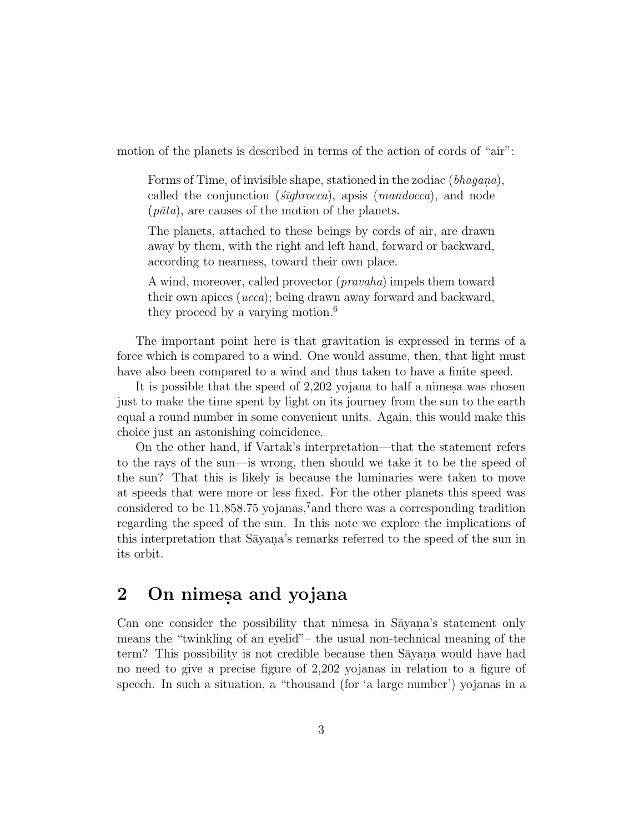motion of the planets is described in terms of the action of cords of "air":

Forms of Time, of invisible shape, stationed in the zodiac  $(bhagana)$ , called the conjunction ( $\epsilon \bar{u}$ ghrocca), apsis (mandocca), and node  $(pāta)$ , are causes of the motion of the planets.

The planets, attached to these beings by cords of air, are drawn away by them, with the right and left hand, forward or backward, according to nearness, toward their own place.

A wind, moreover, called provector (*pravaha*) impels them toward their own apices (ucca); being drawn away forward and backward, they proceed by a varying motion.<sup>6</sup>

The important point here is that gravitation is expressed in terms of a force which is compared to a wind. One would assume, then, that light must have also been compared to a wind and thus taken to have a finite speed.

It is possible that the speed of  $2,202$  yojana to half a nimesa was chosen just to make the time spent by light on its journey from the sun to the earth equal a round number in some convenient units. Again, this would make this choice just an astonishing coincidence.

On the other hand, if Vartak's interpretation—that the statement refers to the rays of the sun—is wrong, then should we take it to be the speed of the sun? That this is likely is because the luminaries were taken to move at speeds that were more or less fixed. For the other planets this speed was considered to be 11,858.75 yojanas,<sup>7</sup>and there was a corresponding tradition regarding the speed of the sun. In this note we explore the implications of this interpretation that Sayana's remarks referred to the speed of the sun in its orbit.

# **2** On nimesa and yojana

Can one consider the possibility that nimes in Sayana's statement only means the "twinkling of an eyelid"– the usual non-technical meaning of the term? This possibility is not credible because then Sayana would have had no need to give a precise figure of 2,202 yojanas in relation to a figure of speech. In such a situation, a "thousand (for 'a large number') yojanas in a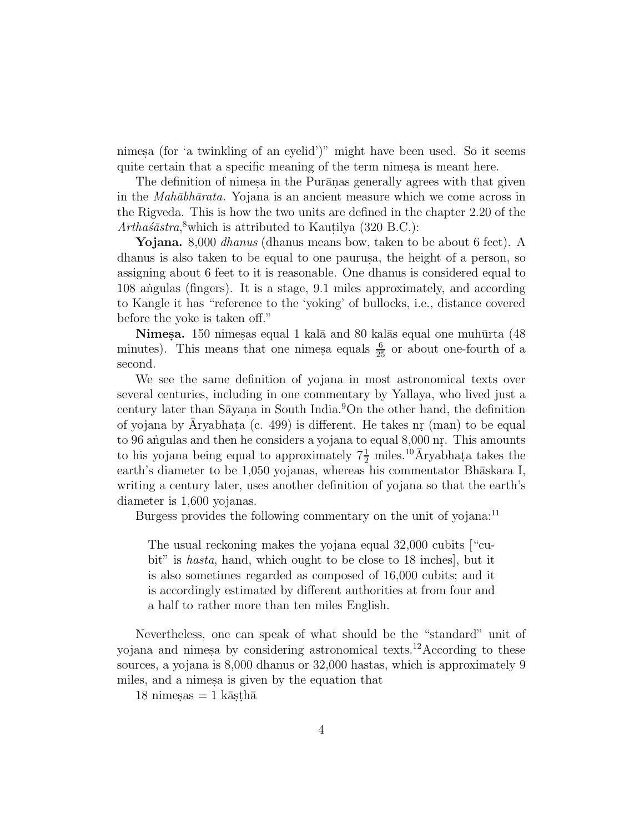nimesa (for 'a twinkling of an eyelid')" might have been used. So it seems quite certain that a specific meaning of the term nimes a is meant here.

The definition of nimes in the Purānas generally agrees with that given in the *Mahābhārata*. Yojana is an ancient measure which we come across in the Rigveda. This is how the two units are defined in the chapter 2.20 of the  $Artha\acute{s}astra$ <sup>8</sup>which is attributed to Kautilya (320 B.C.):

**Yojana.** 8,000 dhanus (dhanus means bow, taken to be about 6 feet). A dhanus is also taken to be equal to one paurus, the height of a person, so assigning about 6 feet to it is reasonable. One dhanus is considered equal to 108 angulas (fingers). It is a stage, 9.1 miles approximately, and according to Kangle it has "reference to the 'yoking' of bullocks, i.e., distance covered before the yoke is taken off."

**Nimesa.** 150 nimesas equal 1 kalā and 80 kalās equal one muhūrta (48) minutes). This means that one nimes a equals  $\frac{6}{25}$  or about one-fourth of a second.

We see the same definition of yojana in most astronomical texts over several centuries, including in one commentary by Yallaya, who lived just a century later than Sayana in South India.<sup>9</sup>On the other hand, the definition of yojana by Aryabhata  $(c. 499)$  is different. He takes nr  $(man)$  to be equal to 96 angulas and then he considers a yojana to equal 8,000 nr. This amounts to his yojana being equal to approximately  $7\frac{1}{2}$  miles.<sup>10</sup>Aryabhata takes the earth's diameter to be 1,050 yojanas, whereas his commentator Bhaskara I, writing a century later, uses another definition of yojana so that the earth's diameter is 1,600 yojanas.

Burgess provides the following commentary on the unit of vojana:<sup>11</sup>

The usual reckoning makes the yojana equal 32,000 cubits ["cubit" is hasta, hand, which ought to be close to 18 inches], but it is also sometimes regarded as composed of 16,000 cubits; and it is accordingly estimated by different authorities at from four and a half to rather more than ten miles English.

Nevertheless, one can speak of what should be the "standard" unit of yojana and nimesa by considering astronomical texts.<sup>12</sup>According to these sources, a yojana is 8,000 dhanus or 32,000 hastas, which is approximately 9 miles, and a nimesa is given by the equation that

 $18 \text{ nimes} = 1 \text{ kās}$ thā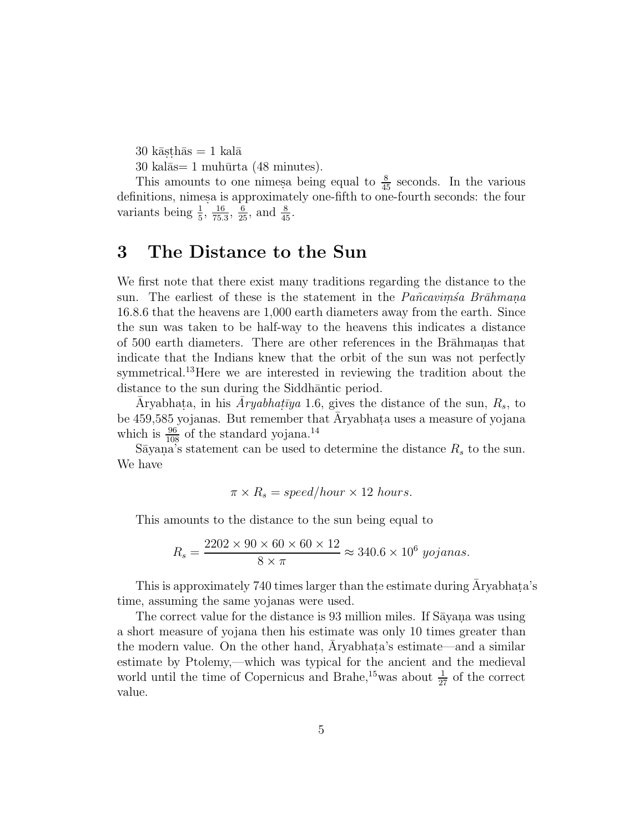$30 \text{ kāsthās} = 1 \text{ kalā}$ 

 $30 \text{ kalās}= 1 \text{ muhūrta (48 minutes)}.$ 

This amounts to one nimes being equal to  $\frac{8}{45}$  seconds. In the various definitions, nimes a is approximately one-fifth to one-fourth seconds: the four variants being  $\frac{1}{5}$ ,  $\frac{16}{75.3}$ ,  $\frac{6}{25}$ , and  $\frac{8}{45}$ .

#### **3 The Distance to the Sun**

We first note that there exist many traditions regarding the distance to the sun. The earliest of these is the statement in the  $Pa\tilde{n}cavim\tilde{s}a$  Br $\bar{a}hmana$ . 16.8.6 that the heavens are 1,000 earth diameters away from the earth. Since the sun was taken to be half-way to the heavens this indicates a distance of 500 earth diameters. There are other references in the Brahmanas that indicate that the Indians knew that the orbit of the sun was not perfectly symmetrical.<sup>13</sup>Here we are interested in reviewing the tradition about the distance to the sun during the Siddhantic period.

Aryabhata, in his  $\bar{A}ryabhat\bar{y}a$  1.6, gives the distance of the sun,  $R_s$ , to be 459,585 yojanas. But remember that  $\bar{A}$ ryabhata uses a measure of yojana which is  $\frac{96}{108}$  of the standard yojana.<sup>14</sup>

Sāyaṇa's statement can be used to determine the distance  $R_s$  to the sun. We have

$$
\pi \times R_s = speed/hour \times 12 \; hours.
$$

This amounts to the distance to the sun being equal to

$$
R_s = \frac{2202 \times 90 \times 60 \times 60 \times 12}{8 \times \pi} \approx 340.6 \times 10^6
$$
 *yojanas.*

This is approximately 740 times larger than the estimate during Aryabhata's time, assuming the same yojanas were used.

The correct value for the distance is 93 million miles. If Sayana was using a short measure of yojana then his estimate was only 10 times greater than the modern value. On the other hand, Aryabhata's estimate—and a similar estimate by Ptolemy,—which was typical for the ancient and the medieval world until the time of Copernicus and Brahe,<sup>15</sup>was about  $\frac{1}{27}$  of the correct value.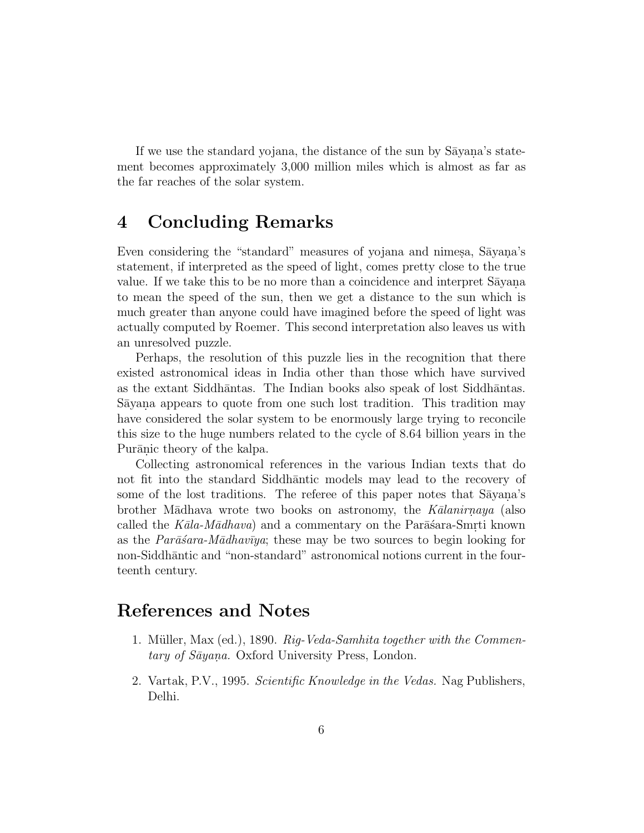If we use the standard yojana, the distance of the sun by  $Sāyana's state$ ment becomes approximately 3,000 million miles which is almost as far as the far reaches of the solar system.

# **4 Concluding Remarks**

Even considering the "standard" measures of yojana and nimesa, Sayana's statement, if interpreted as the speed of light, comes pretty close to the true value. If we take this to be no more than a coincidence and interpret Sayana. to mean the speed of the sun, then we get a distance to the sun which is much greater than anyone could have imagined before the speed of light was actually computed by Roemer. This second interpretation also leaves us with an unresolved puzzle.

Perhaps, the resolution of this puzzle lies in the recognition that there existed astronomical ideas in India other than those which have survived as the extant Siddhāntas. The Indian books also speak of lost Siddhāntas. Sayana appears to quote from one such lost tradition. This tradition may have considered the solar system to be enormously large trying to reconcile this size to the huge numbers related to the cycle of 8.64 billion years in the Purānic theory of the kalpa.

Collecting astronomical references in the various Indian texts that do not fit into the standard Siddhantic models may lead to the recovery of some of the lost traditions. The referee of this paper notes that Sayana's brother Mādhava wrote two books on astronomy, the  $K\bar{a}lanimaya$  (also called the  $Kāla-Mādhava)$  and a commentary on the Par $\bar{a}$ sara-Smrti known as the Par $\bar{a}$ sara-M $\bar{a}$ dhav $\bar{v}y$ a; these may be two sources to begin looking for non-Siddhāntic and "non-standard" astronomical notions current in the fourteenth century.

#### **References and Notes**

- 1. Müller, Max (ed.), 1890. Rig-Veda-Samhita together with the Commentary of Sāyana. Oxford University Press, London.
- 2. Vartak, P.V., 1995. Scientific Knowledge in the Vedas. Nag Publishers, Delhi.